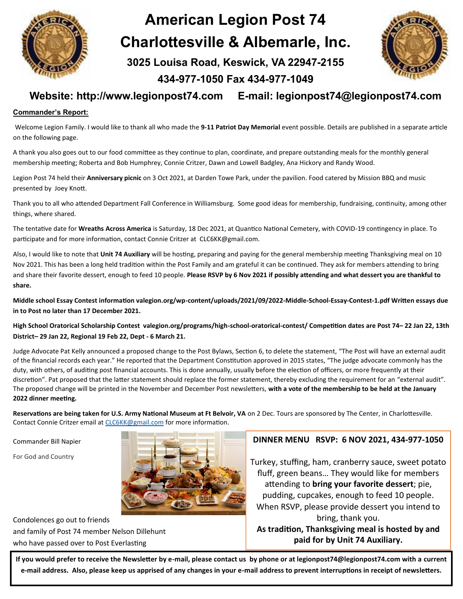

# **American Legion Post 74 Charlottesville & Albemarle, Inc. 3025 Louisa Road, Keswick, VA 22947-2155**



### **Website: http://www.legionpost74.com E-mail: legionpost74@legionpost74.com**

**434-977-1050 Fax 434-977-1049** 

#### **Commander's Report:**

Welcome Legion Family. I would like to thank all who made the **9-11 Patriot Day Memorial** event possible. Details are published in a separate article on the following page.

A thank you also goes out to our food committee as they continue to plan, coordinate, and prepare outstanding meals for the monthly general membership meeting; Roberta and Bob Humphrey, Connie Critzer, Dawn and Lowell Badgley, Ana Hickory and Randy Wood.

Legion Post 74 held their **Anniversary picnic** on 3 Oct 2021, at Darden Towe Park, under the pavilion. Food catered by Mission BBQ and music presented by Joey Knott.

Thank you to all who attended Department Fall Conference in Williamsburg. Some good ideas for membership, fundraising, continuity, among other things, where shared.

The tentative date for **Wreaths Across America** is Saturday, 18 Dec 2021, at Quantico National Cemetery, with COVID-19 contingency in place. To participate and for more information, contact Connie Critzer at CLC6KK@gmail.com.

Also, I would like to note that **Unit 74 Auxiliary** will be hosting, preparing and paying for the general membership meeting Thanksgiving meal on 10 Nov 2021. This has been a long held tradition within the Post Family and am grateful it can be continued. They ask for members attending to bring and share their favorite dessert, enough to feed 10 people. **Please RSVP by 6 Nov 2021 if possibly attending and what dessert you are thankful to share.**

Middle school Essay Contest information valegion.org/wp-content/uploads/2021/09/2022-Middle-School-Essay-Contest-1.pdf Written essays due **in to Post no later than 17 December 2021.**

**High School Oratorical Scholarship Contest valegion.org/programs/high-school-oratorical-contest/ Competition dates are Post 74– 22 Jan 22, 13th District– 29 Jan 22, Regional 19 Feb 22, Dept - 6 March 21.**

Judge Advocate Pat Kelly announced a proposed change to the Post Bylaws, Section 6, to delete the statement, "The Post will have an external audit of the financial records each year." He reported that the Department Constitution approved in 2015 states, "The judge advocate commonly has the duty, with others, of auditing post financial accounts. This is done annually, usually before the election of officers, or more frequently at their discretion". Pat proposed that the latter statement should replace the former statement, thereby excluding the requirement for an "external audit". The proposed change will be printed in the November and December Post newsletters, **with a vote of the membership to be held at the January 2022 dinner meeting.**

**Reservations are being taken for U.S. Army National Museum at Ft Belvoir, VA** on 2 Dec. Tours are sponsored by The Center, in Charlottesville. Contact Connie Critzer email at [CLC6KK@gmail.com](mailto:CLCGKK@gmail.com) for more information.

Commander Bill Napier

For God and Country



Condolences go out to friends and family of Post 74 member Nelson Dillehunt who have passed over to Post Everlasting

#### **DINNER MENU RSVP: 6 NOV 2021, 434-977-1050**

Turkey, stuffing, ham, cranberry sauce, sweet potato fluff, green beans… They would like for members attending to **bring your favorite dessert**; pie, pudding, cupcakes, enough to feed 10 people. When RSVP, please provide dessert you intend to bring, thank you.

**As tradition, Thanksgiving meal is hosted by and paid for by Unit 74 Auxiliary.**

**If you would prefer to receive the Newsletter by e-mail, please contact us by phone or at legionpost74@legionpost74.com with a current e-mail address. Also, please keep us apprised of any changes in your e-mail address to prevent interruptions in receipt of newsletters.**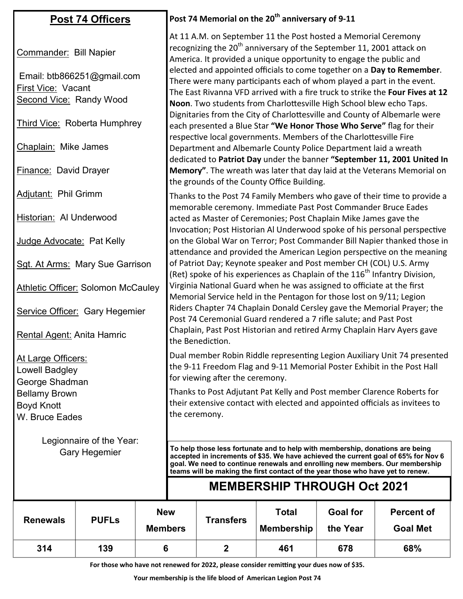| <b>Post 74 Officers</b>                                                                                      |              |            | Post 74 Memorial on the 20 <sup>th</sup> anniversary of 9-11                                                                                                                                                                                                                                                                                                                                                                                                                                                                        |                  |                   |                 |                   |  |  |  |
|--------------------------------------------------------------------------------------------------------------|--------------|------------|-------------------------------------------------------------------------------------------------------------------------------------------------------------------------------------------------------------------------------------------------------------------------------------------------------------------------------------------------------------------------------------------------------------------------------------------------------------------------------------------------------------------------------------|------------------|-------------------|-----------------|-------------------|--|--|--|
| Commander: Bill Napier<br>Email: btb866251@gmail.com<br>First Vice: Vacant<br><b>Second Vice: Randy Wood</b> |              |            | At 11 A.M. on September 11 the Post hosted a Memorial Ceremony<br>recognizing the 20 <sup>th</sup> anniversary of the September 11, 2001 attack on<br>America. It provided a unique opportunity to engage the public and<br>elected and appointed officials to come together on a Day to Remember.<br>There were many participants each of whom played a part in the event.<br>The East Rivanna VFD arrived with a fire truck to strike the Four Fives at 12<br>Noon. Two students from Charlottesville High School blew echo Taps. |                  |                   |                 |                   |  |  |  |
| <b>Third Vice: Roberta Humphrey</b>                                                                          |              |            | Dignitaries from the City of Charlottesville and County of Albemarle were<br>each presented a Blue Star "We Honor Those Who Serve" flag for their<br>respective local governments. Members of the Charlottesville Fire                                                                                                                                                                                                                                                                                                              |                  |                   |                 |                   |  |  |  |
| Chaplain: Mike James                                                                                         |              |            | Department and Albemarle County Police Department laid a wreath<br>dedicated to Patriot Day under the banner "September 11, 2001 United In                                                                                                                                                                                                                                                                                                                                                                                          |                  |                   |                 |                   |  |  |  |
| <b>Finance: David Drayer</b>                                                                                 |              |            | Memory". The wreath was later that day laid at the Veterans Memorial on<br>the grounds of the County Office Building.                                                                                                                                                                                                                                                                                                                                                                                                               |                  |                   |                 |                   |  |  |  |
| <b>Adjutant: Phil Grimm</b>                                                                                  |              |            | Thanks to the Post 74 Family Members who gave of their time to provide a<br>memorable ceremony. Immediate Past Post Commander Bruce Eades                                                                                                                                                                                                                                                                                                                                                                                           |                  |                   |                 |                   |  |  |  |
| Historian: Al Underwood                                                                                      |              |            | acted as Master of Ceremonies; Post Chaplain Mike James gave the<br>Invocation; Post Historian Al Underwood spoke of his personal perspective                                                                                                                                                                                                                                                                                                                                                                                       |                  |                   |                 |                   |  |  |  |
| Judge Advocate: Pat Kelly                                                                                    |              |            | on the Global War on Terror; Post Commander Bill Napier thanked those in<br>attendance and provided the American Legion perspective on the meaning                                                                                                                                                                                                                                                                                                                                                                                  |                  |                   |                 |                   |  |  |  |
| Sgt. At Arms: Mary Sue Garrison                                                                              |              |            | of Patriot Day; Keynote speaker and Post member CH (COL) U.S. Army<br>(Ret) spoke of his experiences as Chaplain of the 116 <sup>th</sup> Infantry Division,                                                                                                                                                                                                                                                                                                                                                                        |                  |                   |                 |                   |  |  |  |
| <b>Athletic Officer: Solomon McCauley</b>                                                                    |              |            | Virginia National Guard when he was assigned to officiate at the first<br>Memorial Service held in the Pentagon for those lost on 9/11; Legion                                                                                                                                                                                                                                                                                                                                                                                      |                  |                   |                 |                   |  |  |  |
| Service Officer: Gary Hegemier                                                                               |              |            | Riders Chapter 74 Chaplain Donald Cersley gave the Memorial Prayer; the<br>Post 74 Ceremonial Guard rendered a 7 rifle salute; and Past Post                                                                                                                                                                                                                                                                                                                                                                                        |                  |                   |                 |                   |  |  |  |
| Rental Agent: Anita Hamric                                                                                   |              |            | Chaplain, Past Post Historian and retired Army Chaplain Harv Ayers gave<br>the Benediction.                                                                                                                                                                                                                                                                                                                                                                                                                                         |                  |                   |                 |                   |  |  |  |
| <u> At Large Officers:</u><br>Lowell Badgley<br>George Shadman                                               |              |            | Dual member Robin Riddle representing Legion Auxiliary Unit 74 presented<br>the 9-11 Freedom Flag and 9-11 Memorial Poster Exhibit in the Post Hall<br>for viewing after the ceremony.                                                                                                                                                                                                                                                                                                                                              |                  |                   |                 |                   |  |  |  |
| <b>Bellamy Brown</b>                                                                                         |              |            | Thanks to Post Adjutant Pat Kelly and Post member Clarence Roberts for<br>their extensive contact with elected and appointed officials as invitees to                                                                                                                                                                                                                                                                                                                                                                               |                  |                   |                 |                   |  |  |  |
| <b>Boyd Knott</b><br>W. Bruce Eades                                                                          |              |            | the ceremony.                                                                                                                                                                                                                                                                                                                                                                                                                                                                                                                       |                  |                   |                 |                   |  |  |  |
| Legionnaire of the Year:<br><b>Gary Hegemier</b>                                                             |              |            |                                                                                                                                                                                                                                                                                                                                                                                                                                                                                                                                     |                  |                   |                 |                   |  |  |  |
|                                                                                                              |              |            | To help those less fortunate and to help with membership, donations are being<br>accepted in increments of \$35. We have achieved the current goal of 65% for Nov 6<br>goal. We need to continue renewals and enrolling new members. Our membership<br>teams will be making the first contact of the year those who have yet to renew.                                                                                                                                                                                              |                  |                   |                 |                   |  |  |  |
|                                                                                                              |              |            | <b>MEMBERSHIP THROUGH Oct 2021</b>                                                                                                                                                                                                                                                                                                                                                                                                                                                                                                  |                  |                   |                 |                   |  |  |  |
| <b>Renewals</b>                                                                                              | <b>PUFLs</b> | <b>New</b> |                                                                                                                                                                                                                                                                                                                                                                                                                                                                                                                                     | <b>Transfers</b> | <b>Total</b>      | <b>Goal for</b> | <b>Percent of</b> |  |  |  |
|                                                                                                              |              |            | <b>Members</b>                                                                                                                                                                                                                                                                                                                                                                                                                                                                                                                      |                  | <b>Membership</b> | the Year        | <b>Goal Met</b>   |  |  |  |

**For those who have not renewed for 2022, please consider remitting your dues now of \$35.** 

**314 139 6 2 461 678 68%**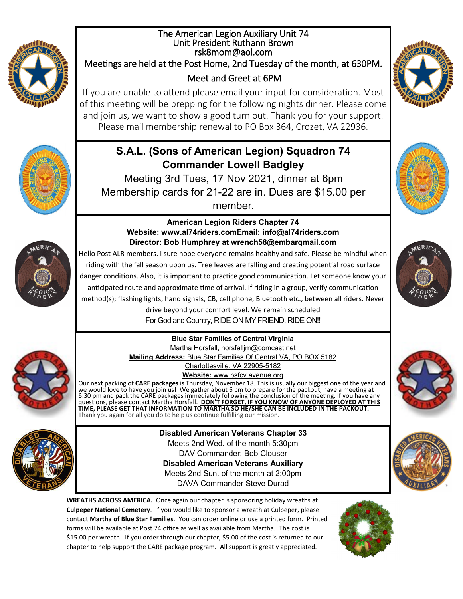

#### The American Legion Auxiliary Unit 74 Unit President Ruthann Brown rsk8mom@aol.com Meetings are held at the Post Home, 2nd Tuesday of the month, at 630PM. Meet and Greet at 6PM

If you are unable to attend please email your input for consideration. Most of this meeting will be prepping for the following nights dinner. Please come and join us, we want to show a good turn out. Thank you for your support. Please mail membership renewal to PO Box 364, Crozet, VA 22936.

## **S.A.L. (Sons of American Legion) Squadron 74 Commander Lowell Badgley**

Meeting 3rd Tues, 17 Nov 2021, dinner at 6pm Membership cards for 21-22 are in. Dues are \$15.00 per member.





#### **American Legion Riders Chapter 74 Website: www.al74riders.comEmail: info@al74riders.com Director: Bob Humphrey at wrench58@embarqmail.com**



Hello Post ALR members. I sure hope everyone remains healthy and safe. Please be mindful when riding with the fall season upon us. Tree leaves are falling and creating potential road surface danger conditions. Also, it is important to practice good communication. Let someone know your anticipated route and approximate time of arrival. If riding in a group, verify communication method(s); flashing lights, hand signals, CB, cell phone, Bluetooth etc., between all riders. Never

drive beyond your comfort level. We remain scheduled For God and Country, RIDE ON MY FRIEND, RIDE ON!!

**Blue Star Families of Central Virginia** Martha Horsfall, horsfalljm@comcast.net **Mailing Address:** Blue Star Families Of Central VA, PO BOX 5182

Charlottesville, VA 22905-5182 **Website:** www.bsfcv.avenue.org

Our next packing of **CARE packages** is Thursday, November 18. This is usually our biggest one of the year and we would love to have you join us! We gather about 6 pm to prepare for the packout, have a meeting at 6:30 pm and pack the CARE packages immediately following the conclusion of the meeting. If you have any questions, please contact Martha Horsfall. **DON'T FORGET, IF YOU KNOW OF ANYONE DEPLOYED AT THIS TIME, PLEASE GET THAT INFORMATION TO MARTHA SO HE/SHE CAN BE INCLUDED IN THE PACKOUT.** Thank you again for all you do to help us continue fulfilling our mission.



**Disabled American Veterans Chapter 33** Meets 2nd Wed. of the month 5:30pm DAV Commander: Bob Clouser **Disabled American Veterans Auxiliary** Meets 2nd Sun. of the month at 2:00pm DAVA Commander Steve Durad

**WREATHS ACROSS AMERICA.** Once again our chapter is sponsoring holiday wreaths at **Culpeper National Cemetery**. If you would like to sponsor a wreath at Culpeper, please contact **Martha of Blue Star Families**. You can order online or use a printed form. Printed forms will be available at Post 74 office as well as available from Martha. The cost is \$15.00 per wreath. If you order through our chapter, \$5.00 of the cost is returned to our chapter to help support the CARE package program. All support is greatly appreciated.